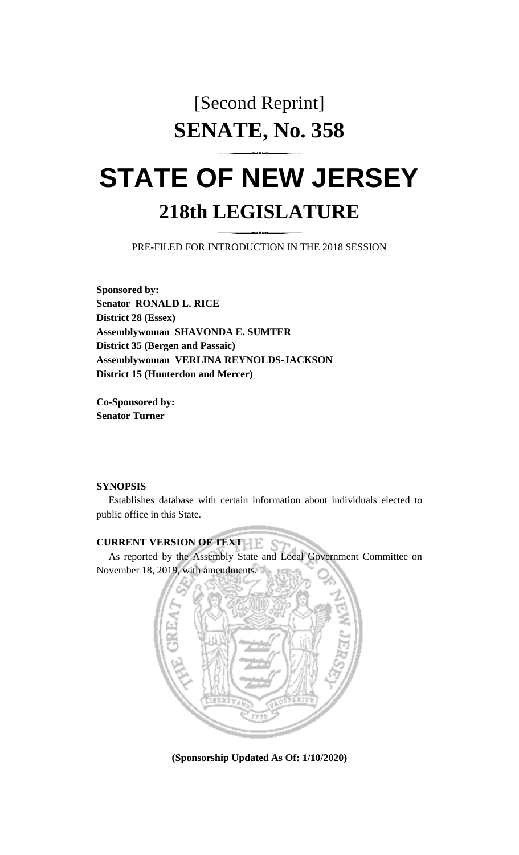# [Second Reprint] **SENATE, No. 358**

# **STATE OF NEW JERSEY 218th LEGISLATURE**

PRE-FILED FOR INTRODUCTION IN THE 2018 SESSION

**Sponsored by: Senator RONALD L. RICE District 28 (Essex) Assemblywoman SHAVONDA E. SUMTER District 35 (Bergen and Passaic) Assemblywoman VERLINA REYNOLDS-JACKSON District 15 (Hunterdon and Mercer)**

**Co-Sponsored by: Senator Turner**

#### **SYNOPSIS**

Establishes database with certain information about individuals elected to public office in this State.

# **CURRENT VERSION OF TEXT**

As reported by the Assembly State and Local Government Committee on November 18, 2019, with amendments.



**(Sponsorship Updated As Of: 1/10/2020)**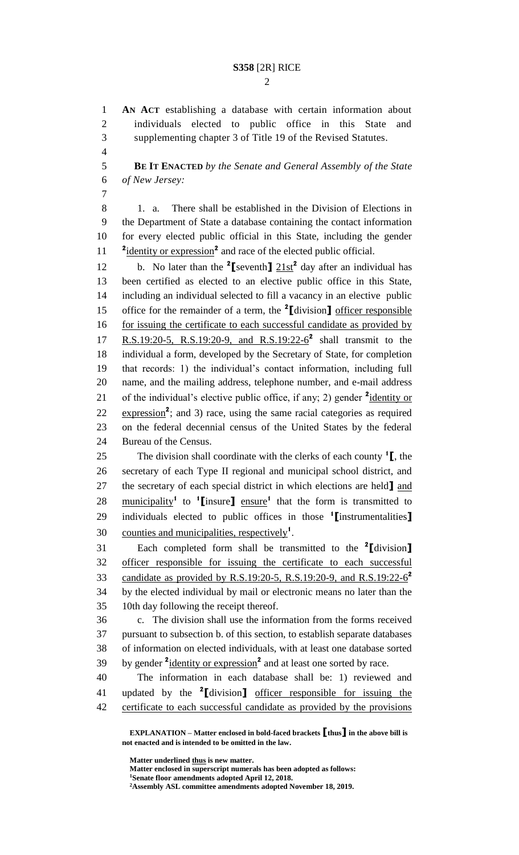## **S358** [2R] RICE

 **AN ACT** establishing a database with certain information about individuals elected to public office in this State and supplementing chapter 3 of Title 19 of the Revised Statutes.

 **BE IT ENACTED** *by the Senate and General Assembly of the State of New Jersey:*

 1. a. There shall be established in the Division of Elections in the Department of State a database containing the contact information for every elected public official in this State, including the gender <sup>2</sup> identity or expression<sup>2</sup> and race of the elected public official.

12 b. No later than the [seventh]  $21st^2$  day after an individual has been certified as elected to an elective public office in this State, including an individual selected to fill a vacancy in an elective public office for the remainder of a term, the **<sup>2</sup> [**division**]** officer responsible for issuing the certificate to each successful candidate as provided by 17 R.S.19:20-5, R.S.19:20-9, and R.S.19:22-6<sup>2</sup> shall transmit to the individual a form, developed by the Secretary of State, for completion that records: 1) the individual's contact information, including full name, and the mailing address, telephone number, and e-mail address 21 of the individual's elective public office, if any; 2) gender <sup>2</sup> <u>identity or</u>  $\frac{expression^2}{}$ ; and 3) race, using the same racial categories as required on the federal decennial census of the United States by the federal Bureau of the Census.

The division shall coordinate with the clerks of each county **<sup>1</sup> [**, the secretary of each Type II regional and municipal school district, and the secretary of each special district in which elections are held**]** and 28 municipality<sup>1</sup> to <sup>1</sup>[insure] ensure<sup>1</sup> that the form is transmitted to individuals elected to public offices in those **<sup>1</sup> [**instrumentalities**]** 30 counties and municipalities, respectively<sup>1</sup>.

Each completed form shall be transmitted to the **<sup>2</sup> [**division**]** officer responsible for issuing the certificate to each successful candidate as provided by R.S.19:20-5, R.S.19:20-9, and R.S.19:22-6 **2** by the elected individual by mail or electronic means no later than the 10th day following the receipt thereof.

 c. The division shall use the information from the forms received pursuant to subsection b. of this section, to establish separate databases of information on elected individuals, with at least one database sorted 39 by gender <sup>2</sup> identity or expression<sup>2</sup> and at least one sorted by race.

 The information in each database shall be: 1) reviewed and updated by the **<sup>2</sup> [**division**]** officer responsible for issuing the 42 certificate to each successful candidate as provided by the provisions

**EXPLANATION – Matter enclosed in bold-faced brackets [thus] in the above bill is not enacted and is intended to be omitted in the law.**

**Matter underlined thus is new matter.**

**Matter enclosed in superscript numerals has been adopted as follows: Senate floor amendments adopted April 12, 2018. Assembly ASL committee amendments adopted November 18, 2019.**